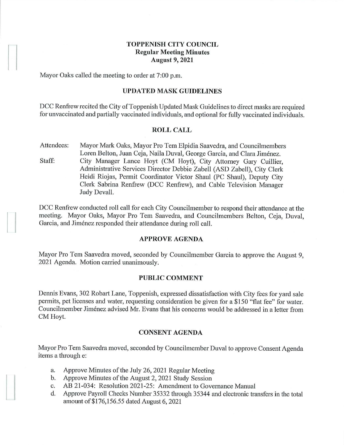## **TOPPENISH CITY COUNCIL Regular Meeting Minutes August 9, 2021**

Mayor Oaks called the meeting to order at 7:00 p.m.

### **UPDATED MASK GUIDELINES**

DCC Renfrew recited the City of Toppenish Updated Mask Guidelines to direct masks are required for unvaccinated and partially vaccinated individuals, and optional for fully vaccinated individuals.

## **ROLL CALL**

Attendees: Staff: Mayor Mark Oaks, Mayor Pro Tern Elpidia Saavedra, and Councilmembers Loren Belton, Juan Ceja, Naila Duval, George Garcia, and Clara Jimenez. City Manager Lance Hoyt (CM Hoyt), City Attorney Gary Cuillier, Administrative Services Director Debbie Zabell (ASD Zabell), City Clerk Heidi Riojas, Permit Coordinator Victor Shaul (PC Shaul), Deputy City Clerk Sabrina Renfrew (DCC Renfrew), and Cable Television Manager Judy Devall.

DCC Renfrew conducted roll call for each City Councilmember to respond their attendance at the meeting. Mayor Oaks, Mayor Pro Tern Saavedra, and Councilmembers Belton, Ceja, Duval, Garcia, and Jiménez responded their attendance during roll call.

## **APPROVE AGENDA**

Mayor Pro Tem Saavedra moved, seconded by Councilmember Garcia to approve the August 9. 2021 Agenda. Motion carried unanimously.

#### **PUBLIC COMMENT**

Dennis Evans, 302 Robart Lane, Toppenish, expressed dissatisfaction with City fees for yard sale permits, pet licenses and water, requesting consideration be given for a \$150 "flat fee" for water. Councilmember Jimenez advised Mr. Evans that his concerns would be addressed in a letter from CM Hoyt.

## **CONSENT AGENDA**

Mayor Pro Tern Saavedra moved, seconded by Councilmember Duval to approve Consent Agenda items a through e:

- a. Approve Minutes of the July 26, 2021 Regular Meeting
- b. Approve Minutes of the August 2, 2021 Study Session

**1** 

- c. AB 21-034: Resolution 2021-25: Amendment to Governance Manual
- d. Approve Payroll Checks Number 35332 through 35344 and electronic transfers in the total amount of\$176,156.55 dated August 6, 2021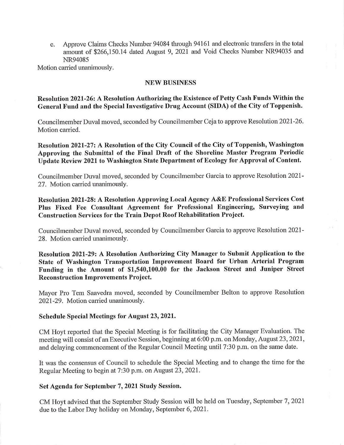e. Approve Claims Checks Number 94084 through 94161 and electronic transfers in the total amount of \$266,150.14 dated August 9, 2021 and Void Checks Number NR94035 and NR94085

Motion carried unanimously.

#### **NEW BUSINESS**

# **Resolution 2021-26: A Resolution Authorizing the Existence of Petty Cash Funds Within the General Fund and the Special Investigative Drug Account (SIDA) of the City of Toppenish.**

Councilmember Duval moved, seconded by Councilmember Ceja to approve Resolution 2021-26. Motion carried.

**Resolution 2021-27: A Resolution of the City Council of the City of Toppenish, Washington Approving the Submittal of the Final Draft of the Shoreline Master Program Periodic Update Review 2021 to Washington State Department of Ecology for Approval of Content.** 

Councilmember Duval moved, seconded by Councilmember Garcia to approve Resolution 2021- 27. Motion carried unanimously.

**Resolution 2021-28: A Resolution Approving Local Agency A&E Professional Services Cost Plus Fixed Fee Consultant Agreement for Professional Engineering, Surveying ancl Construction Services for the Train Depot Roof Rehabilitation Project.** 

Councilmember Duval moved, seconded by Councilmember Garcia to approve Resolution 2021- 28. Motion carried unanimously.

**Resolution 2021-29: A Resolution Authorizing City Manager to Submit Application to the State of Washington Transportation Improvement Board for Urban Arterial Program**  Funding in the Amount of \$1,540,100.00 for the Jackson Street and Juniper Street **Reconstruction Improvements Project.** 

Mayor Pro Tem Saavedra moved, seconded by Councilmember Belton to approve Resolution 2021-29. Motion carried unanimously.

### **Schedule Special Meetings for August 23, 2021.**

CM Hoyt reported that the Special Meeting is for facilitating the City Manager Evaluation. The meeting will consist of an Executive Session, beginning at 6:00 p.m. on Monday, August 23, 2021, and delaying commencement of the Regular Council Meeting until 7:30 p.m. on the same date.

It was the consensus of Council to schedule the Special Meeting and to change the time for the Regular Meeting to begin at 7:30 p.m. on August 23, 2021.

### **Set Agenda for September 7, 2021 Study Session.**

CM Hoyt advised that the September Study Session will be held on Tuesday, September 7, 2021 due to the Labor Day holiday on Monday, September 6, 2021.